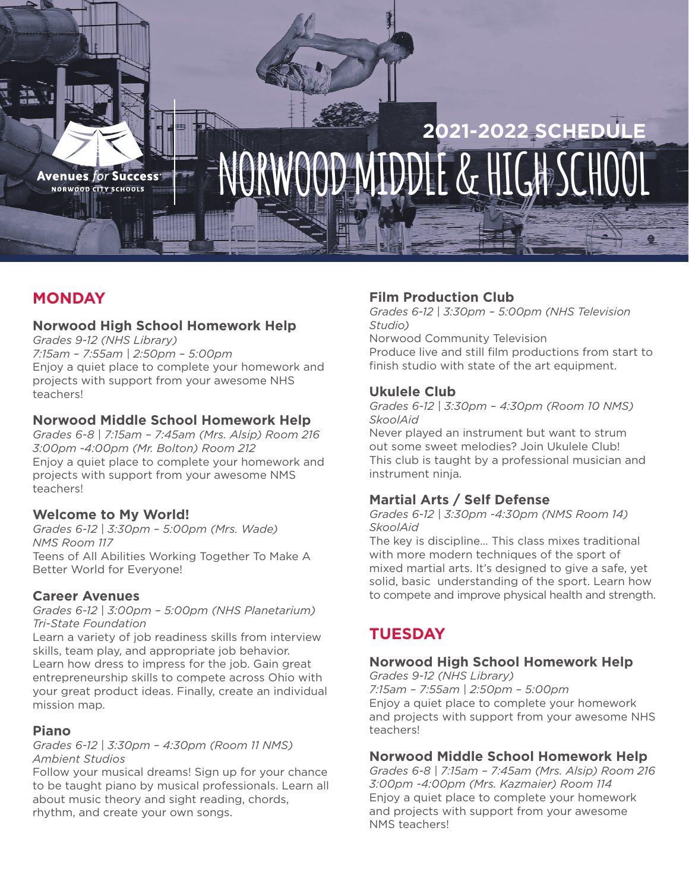

# RWOOD MIDDLE & HIGH SCH **2021-2022 SCHEDULE**

# **MONDAY**

#### **Norwood High School Homework Help**

*Grades 9-12 (NHS Library) 7:15am – 7:55am | 2:50pm – 5:00pm* Enjoy a quiet place to complete your homework and projects with support from your awesome NHS teachers!

#### **Norwood Middle School Homework Help**

*Grades 6-8 | 7:15am – 7:45am (Mrs. Alsip) Room 216 3:00pm -4:00pm (Mr. Bolton) Room 212* Enjoy a quiet place to complete your homework and projects with support from your awesome NMS teachers!

#### **Welcome to My World!**

*Grades 6-12 | 3:30pm – 5:00pm (Mrs. Wade) NMS Room 117* Teens of All Abilities Working Together To Make A Better World for Everyone!

#### **Career Avenues**

#### *Grades 6-12 | 3:00pm – 5:00pm (NHS Planetarium) Tri-State Foundation*

Learn a variety of job readiness skills from interview skills, team play, and appropriate job behavior. Learn how dress to impress for the job. Gain great entrepreneurship skills to compete across Ohio with your great product ideas. Finally, create an individual mission map.

#### **Piano**

#### *Grades 6-12 | 3:30pm – 4:30pm (Room 11 NMS) Ambient Studios*

Follow your musical dreams! Sign up for your chance to be taught piano by musical professionals. Learn all about music theory and sight reading, chords, rhythm, and create your own songs.

# **Film Production Club**

*Grades 6-12 | 3:30pm – 5:00pm (NHS Television Studio)* Norwood Community Television

Produce live and still film productions from start to finish studio with state of the art equipment.

#### **Ukulele Club**

*Grades 6-12 | 3:30pm – 4:30pm (Room 10 NMS) SkoolAid*

Never played an instrument but want to strum out some sweet melodies? Join Ukulele Club! This club is taught by a professional musician and instrument ninja.

# **Martial Arts / Self Defense**

*Grades 6-12 | 3:30pm -4:30pm (NMS Room 14) SkoolAid*

The key is discipline… This class mixes traditional with more modern techniques of the sport of mixed martial arts. It's designed to give a safe, yet solid, basic understanding of the sport. Learn how to compete and improve physical health and strength.

# **TUESDAY**

# **Norwood High School Homework Help**

*Grades 9-12 (NHS Library) 7:15am – 7:55am | 2:50pm – 5:00pm* Enjoy a quiet place to complete your homework and projects with support from your awesome NHS teachers!

# **Norwood Middle School Homework Help**

*Grades 6-8 | 7:15am – 7:45am (Mrs. Alsip) Room 216 3:00pm -4:00pm (Mrs. Kazmaier) Room 114* Enjoy a quiet place to complete your homework and projects with support from your awesome NMS teachers!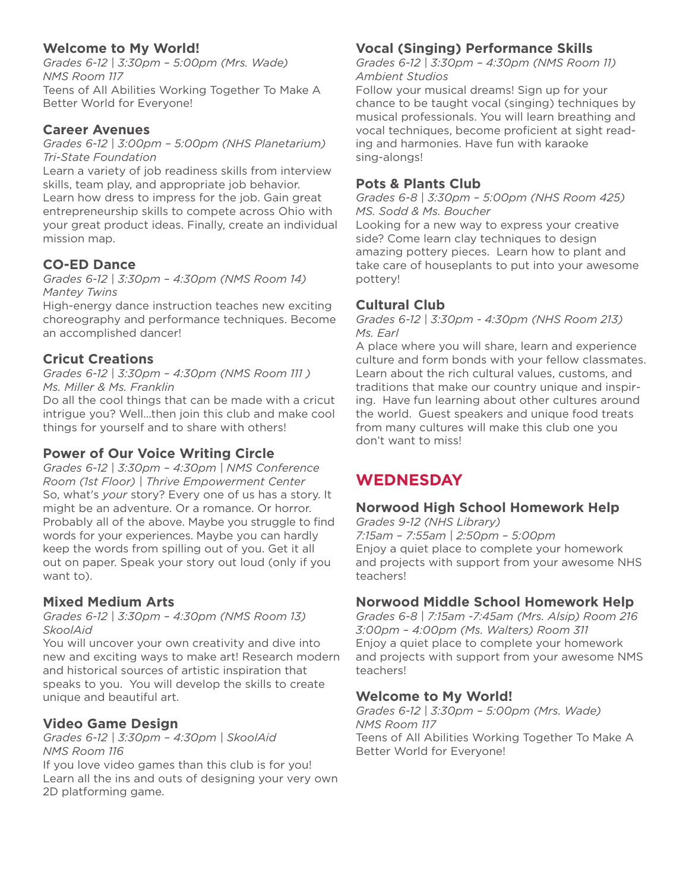# **Welcome to My World!**

*Grades 6-12 | 3:30pm – 5:00pm (Mrs. Wade) NMS Room 117* Teens of All Abilities Working Together To Make A Better World for Everyone!

#### **Career Avenues**

*Grades 6-12 | 3:00pm – 5:00pm (NHS Planetarium) Tri-State Foundation*

Learn a variety of job readiness skills from interview skills, team play, and appropriate job behavior. Learn how dress to impress for the job. Gain great entrepreneurship skills to compete across Ohio with your great product ideas. Finally, create an individual mission map.

#### **CO-ED Dance**

#### *Grades 6-12 | 3:30pm – 4:30pm (NMS Room 14) Mantey Twins*

High-energy dance instruction teaches new exciting choreography and performance techniques. Become an accomplished dancer!

# **Cricut Creations**

#### *Grades 6-12 | 3:30pm – 4:30pm (NMS Room 111 ) Ms. Miller & Ms. Franklin*

Do all the cool things that can be made with a cricut intrigue you? Well…then join this club and make cool things for yourself and to share with others!

#### **Power of Our Voice Writing Circle**

*Grades 6-12 | 3:30pm – 4:30pm | NMS Conference Room (1st Floor) | Thrive Empowerment Center* So, what's *your* story? Every one of us has a story. It might be an adventure. Or a romance. Or horror. Probably all of the above. Maybe you struggle to find words for your experiences. Maybe you can hardly keep the words from spilling out of you. Get it all out on paper. Speak your story out loud (only if you want to).

#### **Mixed Medium Arts**

#### *Grades 6-12 | 3:30pm – 4:30pm (NMS Room 13) SkoolAid*

You will uncover your own creativity and dive into new and exciting ways to make art! Research modern and historical sources of artistic inspiration that speaks to you. You will develop the skills to create unique and beautiful art.

#### **Video Game Design**

*Grades 6-12 | 3:30pm – 4:30pm | SkoolAid NMS Room 116*

If you love video games than this club is for you! Learn all the ins and outs of designing your very own 2D platforming game.

# **Vocal (Singing) Performance Skills**

*Grades 6-12 | 3:30pm – 4:30pm (NMS Room 11) Ambient Studios*

Follow your musical dreams! Sign up for your chance to be taught vocal (singing) techniques by musical professionals. You will learn breathing and vocal techniques, become proficient at sight reading and harmonies. Have fun with karaoke sing-alongs!

#### **Pots & Plants Club**

*Grades 6-8 | 3:30pm – 5:00pm (NHS Room 425) MS. Sodd & Ms. Boucher* Looking for a new way to express your creative side? Come learn clay techniques to design amazing pottery pieces. Learn how to plant and take care of houseplants to put into your awesome pottery!

#### **Cultural Club**

*Grades 6-12 | 3:30pm - 4:30pm (NHS Room 213) Ms. Earl*

A place where you will share, learn and experience culture and form bonds with your fellow classmates. Learn about the rich cultural values, customs, and traditions that make our country unique and inspiring. Have fun learning about other cultures around the world. Guest speakers and unique food treats from many cultures will make this club one you don't want to miss!

# **WEDNESDAY**

#### **Norwood High School Homework Help**

*Grades 9-12 (NHS Library) 7:15am – 7:55am | 2:50pm – 5:00pm* Enjoy a quiet place to complete your homework and projects with support from your awesome NHS teachers!

#### **Norwood Middle School Homework Help**

*Grades 6-8 | 7:15am -7:45am (Mrs. Alsip) Room 216 3:00pm – 4:00pm (Ms. Walters) Room 311* Enjoy a quiet place to complete your homework and projects with support from your awesome NMS teachers!

#### **Welcome to My World!**

*Grades 6-12 | 3:30pm – 5:00pm (Mrs. Wade) NMS Room 117* Teens of All Abilities Working Together To Make A Better World for Everyone!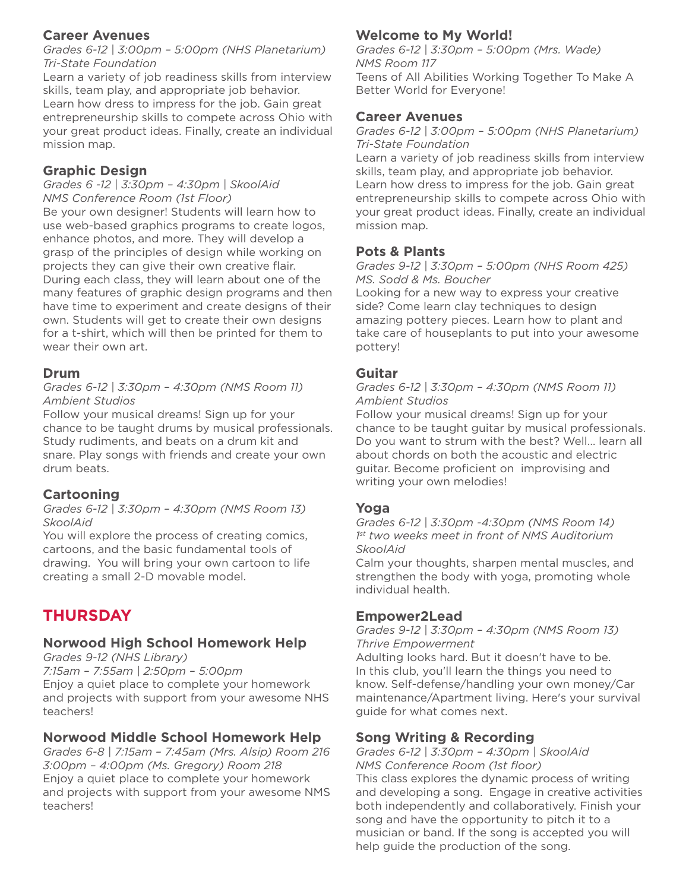# **Career Avenues**

*Grades 6-12 | 3:00pm – 5:00pm (NHS Planetarium) Tri-State Foundation*

Learn a variety of job readiness skills from interview skills, team play, and appropriate job behavior. Learn how dress to impress for the job. Gain great entrepreneurship skills to compete across Ohio with your great product ideas. Finally, create an individual mission map.

#### **Graphic Design**

*Grades 6 -12 | 3:30pm – 4:30pm | SkoolAid NMS Conference Room (1st Floor)* Be your own designer! Students will learn how to use web-based graphics programs to create logos, enhance photos, and more. They will develop a grasp of the principles of design while working on projects they can give their own creative flair. During each class, they will learn about one of the many features of graphic design programs and then have time to experiment and create designs of their own. Students will get to create their own designs for a t-shirt, which will then be printed for them to wear their own art.

#### **Drum**

#### *Grades 6-12 | 3:30pm – 4:30pm (NMS Room 11) Ambient Studios*

Follow your musical dreams! Sign up for your chance to be taught drums by musical professionals. Study rudiments, and beats on a drum kit and snare. Play songs with friends and create your own drum beats.

# **Cartooning**

#### *Grades 6-12 | 3:30pm – 4:30pm (NMS Room 13) SkoolAid*

You will explore the process of creating comics, cartoons, and the basic fundamental tools of drawing. You will bring your own cartoon to life creating a small 2-D movable model.

# **THURSDAY**

#### **Norwood High School Homework Help**

*Grades 9-12 (NHS Library) 7:15am – 7:55am | 2:50pm – 5:00pm* Enjoy a quiet place to complete your homework and projects with support from your awesome NHS teachers!

# **Norwood Middle School Homework Help**

*Grades 6-8 | 7:15am – 7:45am (Mrs. Alsip) Room 216 3:00pm – 4:00pm (Ms. Gregory) Room 218* Enjoy a quiet place to complete your homework and projects with support from your awesome NMS teachers!

# **Welcome to My World!**

*Grades 6-12 | 3:30pm – 5:00pm (Mrs. Wade) NMS Room 117* Teens of All Abilities Working Together To Make A Better World for Everyone!

#### **Career Avenues**

*Grades 6-12 | 3:00pm – 5:00pm (NHS Planetarium) Tri-State Foundation*

Learn a variety of job readiness skills from interview skills, team play, and appropriate job behavior. Learn how dress to impress for the job. Gain great entrepreneurship skills to compete across Ohio with your great product ideas. Finally, create an individual mission map.

#### **Pots & Plants**

*Grades 9-12 | 3:30pm – 5:00pm (NHS Room 425) MS. Sodd & Ms. Boucher*

Looking for a new way to express your creative side? Come learn clay techniques to design amazing pottery pieces. Learn how to plant and take care of houseplants to put into your awesome pottery!

#### **Guitar**

#### *Grades 6-12 | 3:30pm – 4:30pm (NMS Room 11) Ambient Studios*

Follow your musical dreams! Sign up for your chance to be taught guitar by musical professionals. Do you want to strum with the best? Well… learn all about chords on both the acoustic and electric guitar. Become proficient on improvising and writing your own melodies!

#### **Yoga**

*Grades 6-12 | 3:30pm -4:30pm (NMS Room 14) 1st two weeks meet in front of NMS Auditorium SkoolAid*

Calm your thoughts, sharpen mental muscles, and strengthen the body with yoga, promoting whole individual health.

#### **Empower2Lead**

#### *Grades 9-12 | 3:30pm – 4:30pm (NMS Room 13) Thrive Empowerment*

Adulting looks hard. But it doesn't have to be. In this club, you'll learn the things you need to know. Self-defense/handling your own money/Car maintenance/Apartment living. Here's your survival guide for what comes next.

# **Song Writing & Recording**

*Grades 6-12 | 3:30pm – 4:30pm | SkoolAid NMS Conference Room (1st floor)* This class explores the dynamic process of writing and developing a song. Engage in creative activities both independently and collaboratively. Finish your song and have the opportunity to pitch it to a musician or band. If the song is accepted you will help guide the production of the song.